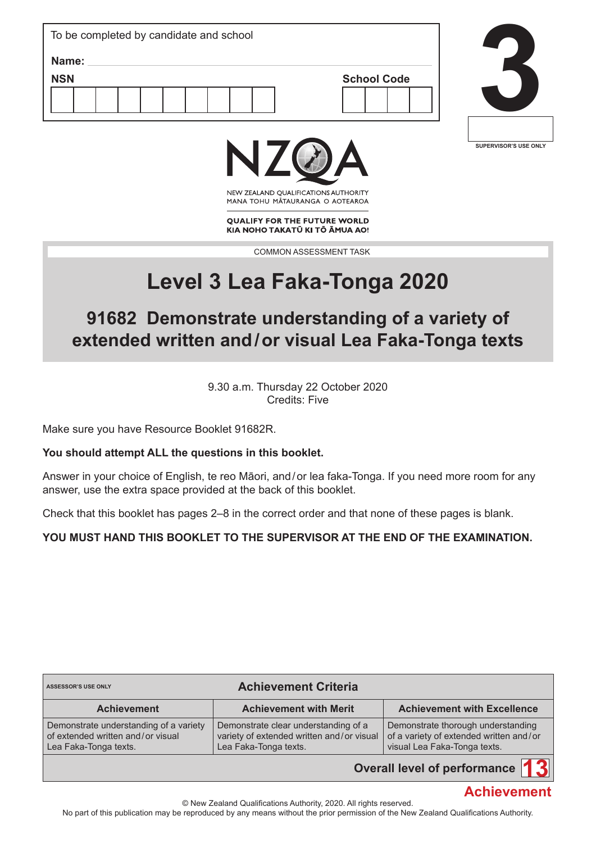| To be completed by candidate and school |                    |  |
|-----------------------------------------|--------------------|--|
| Name:                                   |                    |  |
| <b>NSN</b>                              | <b>School Code</b> |  |
|                                         |                    |  |





NEW ZEALAND OUALIFICATIONS AUTHORITY MANA TOHU MATAURANGA O AOTEAROA

**QUALIFY FOR THE FUTURE WORLD** KIA NOHO TAKATŪ KI TŌ ĀMUA AO!

COMMON ASSESSMENT TASK

# **Level 3 Lea Faka-Tonga 2020**

# **91682 Demonstrate understanding of a variety of extended written and/or visual Lea Faka-Tonga texts**

9.30 a.m. Thursday 22 October 2020 Credits: Five

Make sure you have Resource Booklet 91682R.

### **You should attempt ALL the questions in this booklet.**

Answer in your choice of English, te reo Māori, and/or lea faka-Tonga. If you need more room for any answer, use the extra space provided at the back of this booklet.

Check that this booklet has pages 2–8 in the correct order and that none of these pages is blank.

### **YOU MUST HAND THIS BOOKLET TO THE SUPERVISOR AT THE END OF THE EXAMINATION.**

| <b>Achievement Criteria</b><br><b>ASSESSOR'S USE ONLY</b>                                            |                                                                                                            |                                                                                                               |  |  |  |  |  |
|------------------------------------------------------------------------------------------------------|------------------------------------------------------------------------------------------------------------|---------------------------------------------------------------------------------------------------------------|--|--|--|--|--|
| <b>Achievement</b>                                                                                   | <b>Achievement with Merit</b>                                                                              | <b>Achievement with Excellence</b>                                                                            |  |  |  |  |  |
| Demonstrate understanding of a variety<br>of extended written and/or visual<br>Lea Faka-Tonga texts. | Demonstrate clear understanding of a<br>variety of extended written and/or visual<br>Lea Faka-Tonga texts. | Demonstrate thorough understanding<br>of a variety of extended written and/or<br>visual Lea Faka-Tonga texts. |  |  |  |  |  |
| Overall level of performance                                                                         |                                                                                                            |                                                                                                               |  |  |  |  |  |

# **Overall level of performance**

# **Achievement**

© New Zealand Qualifications Authority, 2020. All rights reserved.

No part of this publication may be reproduced by any means without the prior permission of the New Zealand Qualifications Authority.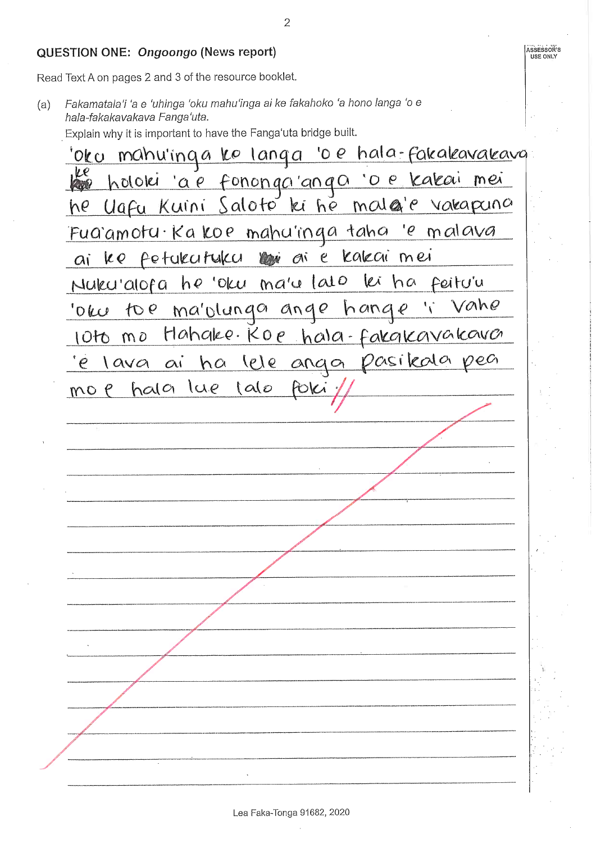#### QUESTION ONE: Ongoongo (News report)

Read Text A on pages 2 and 3 of the resource booklet.

Fakamatala'i 'a e 'uhinga 'oku mahu'inga ai ke fakahoko 'a hono langa 'o e  $(a)$ hala-fakakayakaya Fanga'uta.

Explain why it is important to have the Fanga'uta bridge built.

oko mahu'inga ko langa 'o e hala-fakakavakava ve <u>'a e fononga ango 'o e kakai mei</u> holoki Uafu Kuini Saloto ki he malg'e vakapuna he Fua'amotu Kakoe mahu'inga taha 'e malava ai ke fetukutuku kwi ai e kakai mei Nuku'alofa he 'oku ma'u lato lei ha Feitu'u Vahe 'oke to ema'olunga ange hang Hahake. Koe hala-fakakavakava  $1010 \text{ m0}$ pasikala  $VPCC$ ha leje lava ai  $ando$  $\mathcal{P}$  $halc$  $ue$  $\alpha$  $mO$   $\rho$ 

Lea Faka-Tonga 91682, 2020

ASSESSOR'S

USE ONLY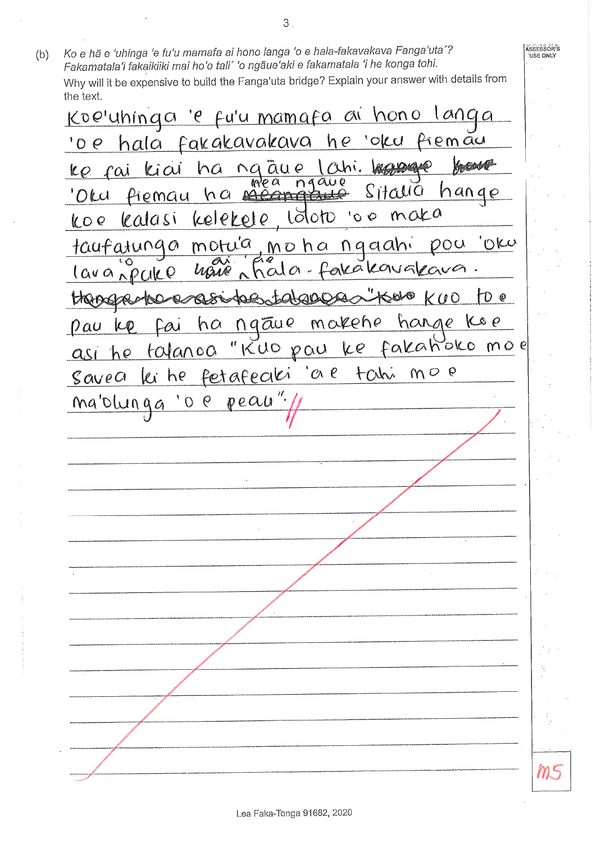Ko e hã e 'uhinga 'e fu'u mamafa ai hono langa 'o e hala-fakavakava Fanga'uta'? Assessor's  $(b)$ **USE ONLY** Fakamatala'i fakaikiiki mai ho'o tali' 'o ngāue'aki e fakamatala 'i he konga tohi. Why will it be expensive to build the Fanga'uta bridge? Explain your answer with details from the text. <u>Koe'uhinga 'e fu'u mamafa ai hono</u>  $10000$ <u>'o e hala fakakavakava he 'oku</u> remau <u>ke fai kiai ha ng aue lahi.</u> **Antonio** 'Olu Piemau ha neangth Sitalia hange maka kelekele Loloto  $^{\circ}$  0  $^{\circ}$ lealasi  $LOQ$ morua moha ngaahi OKU taufatunga  $000$ iala-fakakavakava  $lawa$ <sub>n</sub> $pullQ$ have Colost"  $\theta$  $\mathbf{\Omega}$  $0.00000$  $K100$ LAGIAGE makehe hange Koe  $nq\bar{a}uq$ ha  $p$   $\alpha$  $LO$ Lai ke fakañoko moe KUO pau talanca asi he fetafeciki  $O\Lambda$   $C$ tahi  $MO$   $P$ lei he Savea  $peau$ mablunga  $\varrho$  $\Omega$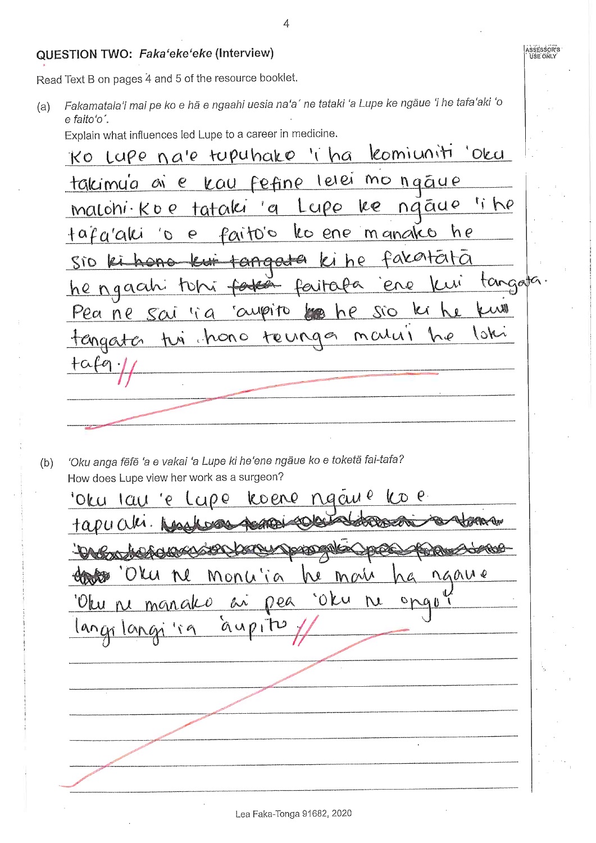#### QUESTION TWO: Faka'eke'eke (Interview)

Read Text B on pages 4 and 5 of the resource booklet.

Fakamatala'i mai pe ko e hã e ngaahi uesia na'a' ne tataki 'a Lupe ke ngãue 'i he tafa'aki 'o  $(a)$  $e$  faito'o'.

Explain what influences led Lupe to a career in medicine.

Ko Lupe na'e tupuhako 'i ha komiuniti 'oku e kau fefine lelei mo ngáue takimu'a ai 'i he naãue tataki  $^{\prime}$   $\alpha$  $LQPO$  $re$  $malohi \cdot ko$  e les ene m anako  $+a\beta a'abc$ Paito's  $h \rho$  $\ddot{\mathbf{c}}$  $\mathcal{O}$ fakatata Sio ki hono tangata  $\mathbb{F}_A$  $h\rho$  $\ell$ tangata ene <u>he ngaah</u> ferita tohi  $k$ aupito Pea ne sai li a  $\mu_{\mathcal{D}}$  $hP$  $OZ$ hono Nc l Mary teurag tengester  $tnn$ 

'Oku anga fēfē 'a e vakai 'a Lupe ki he'ene ngāue ko e toketā fai-tafa?  $(b)$ How does Lupe view her work as a surgeon?

ngay e  $V \cap P$ koene 'Ok u  $|cu|$ 0 Q KR Av **CARD AN** Mais **Charless** Monuja We naau e 'oku Dea 'Oku ne manako  $\mu$ hi  $\mathcal{O}$  $QUP1$  $l$  an $\hat{u}$  $1$  $\alpha$ n

ASSESSOR<sup>I</sup>S<br>| USE ONLY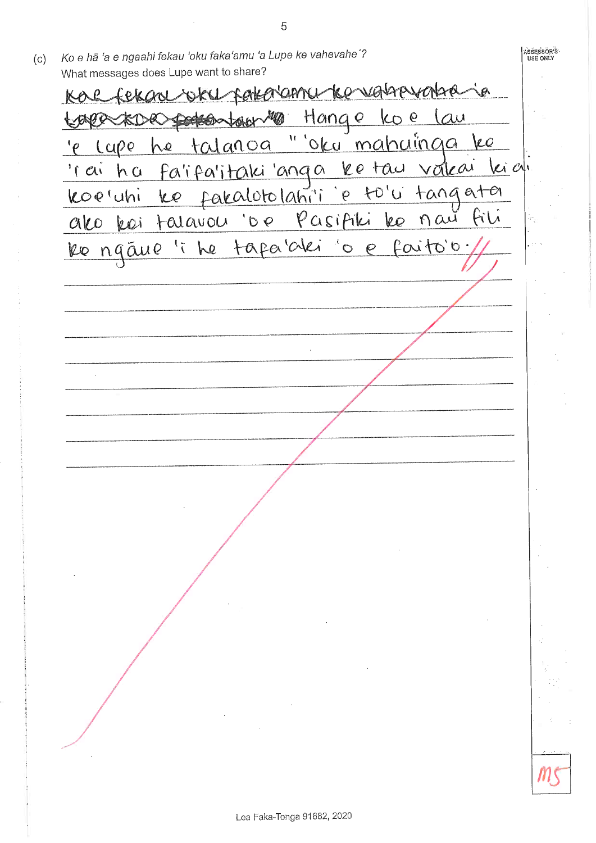ASSESSÖR<sup>I</sup>S<br>USE ONLY Ko e hā 'a e ngaahi fekau 'oku faka'amu 'a Lupe ke vahevahe'?  $(c)$ What messages does Lupe want to share? FOOLOVARAL Ke vaspovatia ja Hange koe lau Dedson toier MO he talanoa "'oku mahuinga ke  $Lap$  $\mathbf{e}^{\prime}$ <u>fa'ifa'itaki 'anga ketau vakai kidi</u> 'r ai ha koe'uhi ke fakalotolahi'i e to'u tangata ako koi talavou o pasifiki lee now hl 'i he tapa'alei 'o e faito'o Re ngāue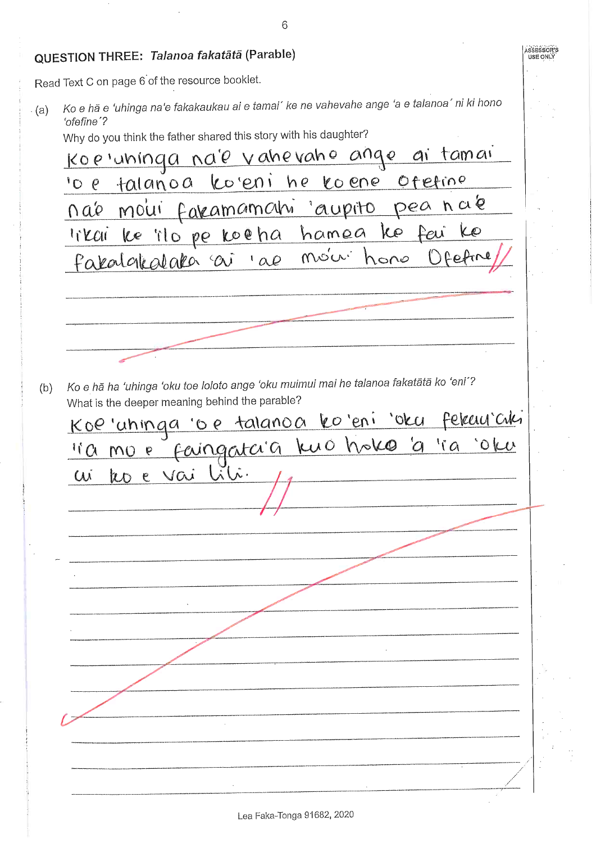ASSESSOR'S<br>USE ONLY QUESTION THREE: Talanoa fakatātā (Parable) Read Text C on page 6 of the resource booklet. Ko e hã e 'uhinga na'e fakakaukau ai e tamai' ke ne vahevahe ange 'a e talanoa' ni ki hono  $(a)$ 'ofefine'? Why do you think the father shared this story with his daughter? <u>Koe'uninga na'e vahevaho ange ai tamai</u> talanoa ko'eni he koene ofetine  $^1$ O $\rho$ peana'e nao moui fakamamoni aupito likai ke ilo pe koeha hamea ko feu KO moini fakalakalaka ai 'ae hone Ko e hā ha 'uhinga 'oku toe loloto ange 'oku muimui mai he talanoa fakatātā ko 'eni'?  $(b)$ What is the deeper meaning behind the parable? <u>Koe'uhinga oe talanoa ko'eni 'oku fekuu'aki</u> faingataig kuo hoko a 'ia 'oku  $\sqrt{a}$  MO e teo e vai liti W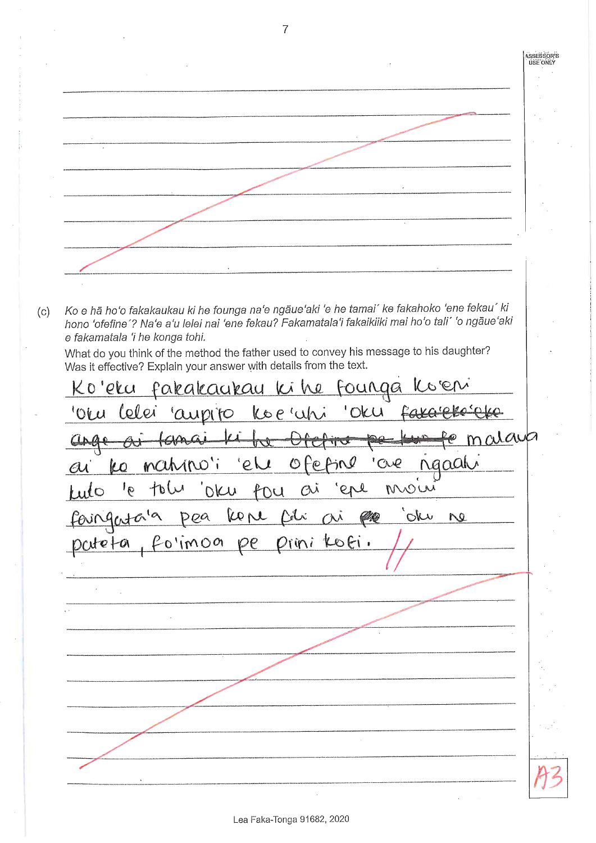ASSESSOR'S<br>USE ONLY Ko e hā ho'o fakakaukau ki he founga na'e ngāue'aki 'e he tamai' ke fakahoko 'ene fekau' ki  $(c)$ hono 'ofefine'? Na'e a'u lelei nai 'ene fekau? Fakamatala'i fakaikiiki mai ho'o tali' 'o ngāue'aki e fakamatala 'i he konga tohi. What do you think of the method the father used to convey his message to his daughter? Was it effective? Explain your answer with details from the text. Ko'eku fakakaukau ki he Founga Celei koe 'uhi oru 'Oku aupito malaup <u>le ji </u> fama ngaah mahino'i 'ele  $O$   $Fe$ jN 'are ko  $\mathcal{A}$  $10\omega$  $Q\mathcal{N}$ moiri OKU tou ere  $\mathfrak{g}^{\dagger}$  $\overline{\mathbf{1}}$ RON ata'a Delxi  $\alpha$ an Oku  $P_{\varrho}$ Ne  $Po'imon$ OFi  $Dirin$ 

Lea Faka-Tonga 91682, 2020

 $\overline{7}$